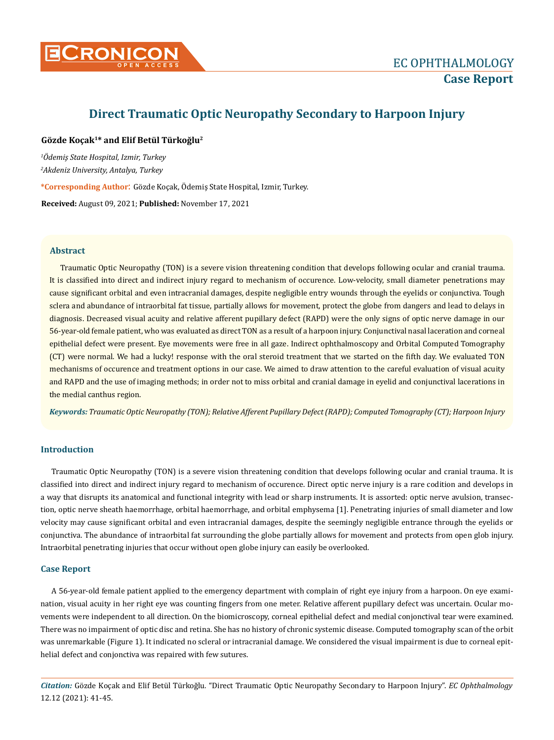

# **Direct Traumatic Optic Neuropathy Secondary to Harpoon Injury**

### **Gözde Koçak1\* and Elif Betül Türkoğlu<sup>2</sup>**

*1 Ödemiş State Hospital, Izmir, Turkey 2 Akdeniz University, Antalya, Turkey*

**\*Corresponding Author**: Gözde Koçak, Ödemiş State Hospital, Izmir, Turkey.

**Received:** August 09, 2021; **Published:** November 17, 2021

### **Abstract**

Traumatic Optic Neuropathy (TON) is a severe vision threatening condition that develops following ocular and cranial trauma. It is classified into direct and indirect injury regard to mechanism of occurence. Low-velocity, small diameter penetrations may cause significant orbital and even intracranial damages, despite negligible entry wounds through the eyelids or conjunctiva. Tough sclera and abundance of intraorbital fat tissue, partially allows for movement, protect the globe from dangers and lead to delays in diagnosis. Decreased visual acuity and relative afferent pupillary defect (RAPD) were the only signs of optic nerve damage in our 56-year-old female patient, who was evaluated as direct TON as a result of a harpoon injury. Conjunctival nasal laceration and corneal epithelial defect were present. Eye movements were free in all gaze. Indirect ophthalmoscopy and Orbital Computed Tomography (CT) were normal. We had a lucky! response with the oral steroid treatment that we started on the fifth day. We evaluated TON mechanisms of occurence and treatment options in our case. We aimed to draw attention to the careful evaluation of visual acuity and RAPD and the use of imaging methods; in order not to miss orbital and cranial damage in eyelid and conjunctival lacerations in the medial canthus region.

*Keywords: Traumatic Optic Neuropathy (TON); Relative Afferent Pupillary Defect (RAPD); Computed Tomography (CT); Harpoon Injury*

## **Introduction**

Traumatic Optic Neuropathy (TON) is a severe vision threatening condition that develops following ocular and cranial trauma. It is classified into direct and indirect injury regard to mechanism of occurence. Direct optic nerve injury is a rare codition and develops in a way that disrupts its anatomical and functional integrity with lead or sharp instruments. It is assorted: optic nerve avulsion, transection, optic nerve sheath haemorrhage, orbital haemorrhage, and orbital emphysema [1]. Penetrating injuries of small diameter and low velocity may cause significant orbital and even intracranial damages, despite the seemingly negligible entrance through the eyelids or conjunctiva. The abundance of intraorbital fat surrounding the globe partially allows for movement and protects from open glob injury. Intraorbital penetrating injuries that occur without open globe injury can easily be overlooked.

#### **Case Report**

A 56-year-old female patient applied to the emergency department with complain of right eye injury from a harpoon. On eye examination, visual acuity in her right eye was counting fingers from one meter. Relative afferent pupillary defect was uncertain. Ocular movements were independent to all direction. On the biomicroscopy, corneal epithelial defect and medial conjonctival tear were examined. There was no impairment of optic disc and retina. She has no history of chronic systemic disease. Computed tomography scan of the orbit was unremarkable (Figure 1). It indicated no scleral or intracranial damage. We considered the visual impairment is due to corneal epithelial defect and conjonctiva was repaired with few sutures.

*Citation:* Gözde Koçak and Elif Betül Türkoğlu*.* "Direct Traumatic Optic Neuropathy Secondary to Harpoon Injury". *EC Ophthalmology*  12.12 (2021): 41-45.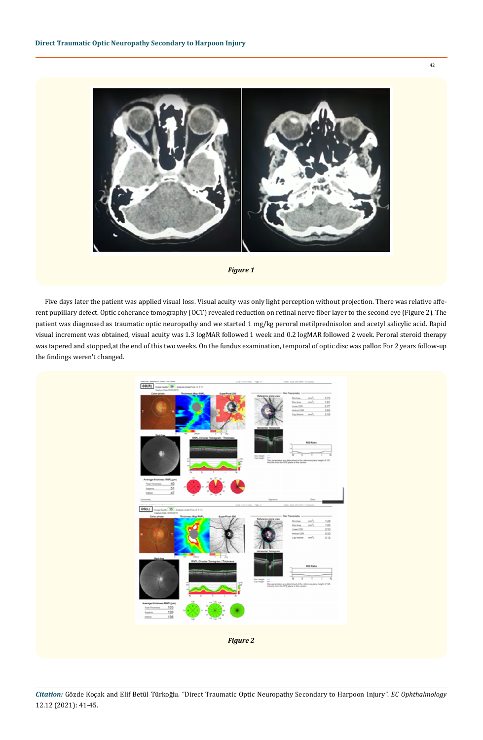





Five days later the patient was applied visual loss. Visual acuity was only light perception without projection. There was relative afferent pupillary defect. Optic coherance tomography (OCT) revealed reduction on retinal nerve fiber layer to the second eye (Figure 2). The patient was diagnosed as traumatic optic neuropathy and we started 1 mg/kg peroral metilprednisolon and acetyl salicylic acid. Rapid visual increment was obtained, visual acuity was 1.3 logMAR followed 1 week and 0.2 logMAR followed 2 week. Peroral steroid therapy was tapered and stopped,at the end of this two weeks. On the fundus examination, temporal of optic disc was pallor. For 2 years follow-up the findings weren't changed.

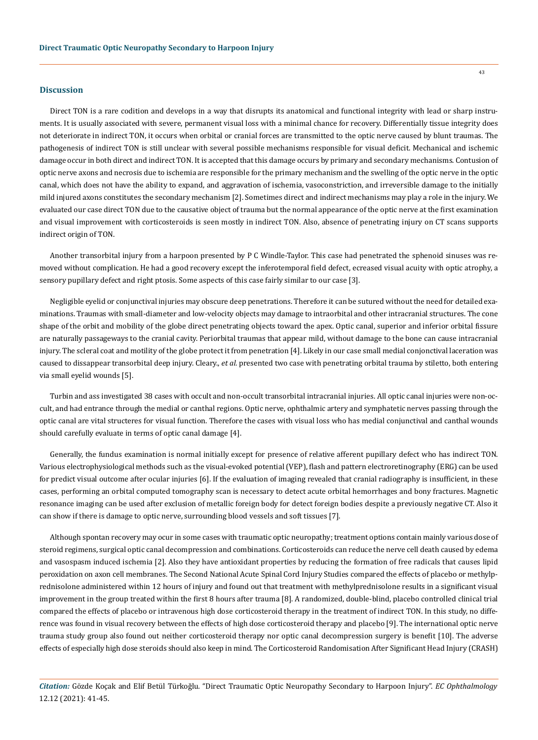#### **Discussion**

Direct TON is a rare codition and develops in a way that disrupts its anatomical and functional integrity with lead or sharp instruments. It is usually associated with severe, permanent visual loss with a minimal chance for recovery. Differentially tissue integrity does not deteriorate in indirect TON, it occurs when orbital or cranial forces are transmitted to the optic nerve caused by blunt traumas. The pathogenesis of indirect TON is still unclear with several possible mechanisms responsible for visual deficit. Mechanical and ischemic damage occur in both direct and indirect TON. It is accepted that this damage occurs by primary and secondary mechanisms. Contusion of optic nerve axons and necrosis due to ischemia are responsible for the primary mechanism and the swelling of the optic nerve in the optic canal, which does not have the ability to expand, and aggravation of ischemia, vasoconstriction, and irreversible damage to the initially mild injured axons constitutes the secondary mechanism [2]. Sometimes direct and indirect mechanisms may play a role in the injury. We evaluated our case direct TON due to the causative object of trauma but the normal appearance of the optic nerve at the first examination and visual improvement with corticosteroids is seen mostly in indirect TON. Also, absence of penetrating injury on CT scans supports indirect origin of TON.

Another transorbital injury from a harpoon presented by P C Windle-Taylor. This case had penetrated the sphenoid sinuses was removed without complication. He had a good recovery except the inferotemporal field defect, ecreased visual acuity with optic atrophy, a sensory pupillary defect and right ptosis. Some aspects of this case fairly similar to our case [3].

Negligible eyelid or conjunctival injuries may obscure deep penetrations. Therefore it can be sutured without the need for detailed examinations. Traumas with small-diameter and low-velocity objects may damage to intraorbital and other intracranial structures. The cone shape of the orbit and mobility of the globe direct penetrating objects toward the apex. Optic canal, superior and inferior orbital fissure are naturally passageways to the cranial cavity. Periorbital traumas that appear mild, without damage to the bone can cause intracranial injury. The scleral coat and motility of the globe protect it from penetration [4]. Likely in our case small medial conjonctival laceration was caused to dissappear transorbital deep injury. Cleary., *et al.* presented two case with penetrating orbital trauma by stiletto, both entering via small eyelid wounds [5].

Turbin and ass investigated 38 cases with occult and non-occult transorbital intracranial injuries. All optic canal injuries were non-occult, and had entrance through the medial or canthal regions. Optic nerve, ophthalmic artery and symphatetic nerves passing through the optic canal are vital structeres for visual function. Therefore the cases with visual loss who has medial conjunctival and canthal wounds should carefully evaluate in terms of optic canal damage [4].

Generally, the fundus examination is normal initially except for presence of relative afferent pupillary defect who has indirect TON. Various electrophysiological methods such as the visual-evoked potential (VEP), flash and pattern electroretinography (ERG) can be used for predict visual outcome after ocular injuries [6]. If the evaluation of imaging revealed that cranial radiography is insufficient, in these cases, performing an orbital computed tomography scan is necessary to detect acute orbital hemorrhages and bony fractures. Magnetic resonance imaging can be used after exclusion of metallic foreign body for detect foreign bodies despite a previously negative CT. Also it can show if there is damage to optic nerve, surrounding blood vessels and soft tissues [7].

Although spontan recovery may ocur in some cases with traumatic optic neuropathy; treatment options contain mainly various dose of steroid regimens, surgical optic canal decompression and combinations. Corticosteroids can reduce the nerve cell death caused by edema and vasospasm induced ischemia [2]. Also they have antioxidant properties by reducing the formation of free radicals that causes lipid peroxidation on axon cell membranes. The Second National Acute Spinal Cord Injury Studies compared the effects of placebo or methylprednisolone administered within 12 hours of injury and found out that treatment with methylprednisolone results in a significant visual improvement in the group treated within the first 8 hours after trauma [8]. A randomized, double-blind, placebo controlled clinical trial compared the effects of placebo or intravenous high dose corticosteroid therapy in the treatment of indirect TON. In this study, no difference was found in visual recovery between the effects of high dose corticosteroid therapy and placebo [9]. The international optic nerve trauma study group also found out neither corticosteroid therapy nor optic canal decompression surgery is benefit [10]. The adverse effects of especially high dose steroids should also keep in mind. The Corticosteroid Randomisation After Significant Head Injury (CRASH)

*Citation:* Gözde Koçak and Elif Betül Türkoğlu*.* "Direct Traumatic Optic Neuropathy Secondary to Harpoon Injury". *EC Ophthalmology*  12.12 (2021): 41-45.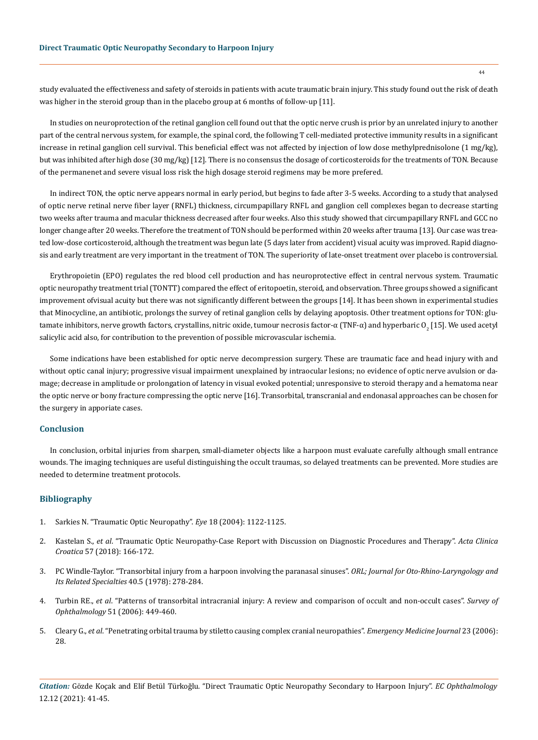study evaluated the effectiveness and safety of steroids in patients with acute traumatic brain injury. This study found out the risk of death was higher in the steroid group than in the placebo group at 6 months of follow-up [11].

In studies on neuroprotection of the retinal ganglion cell found out that the optic nerve crush is prior by an unrelated injury to another part of the central nervous system, for example, the spinal cord, the following T cell-mediated protective immunity results in a significant increase in retinal ganglion cell survival. This beneficial effect was not affected by injection of low dose methylprednisolone (1 mg/kg), but was inhibited after high dose (30 mg/kg) [12]. There is no consensus the dosage of corticosteroids for the treatments of TON. Because of the permanenet and severe visual loss risk the high dosage steroid regimens may be more prefered.

In indirect TON, the optic nerve appears normal in early period, but begins to fade after 3-5 weeks. According to a study that analysed of optic nerve retinal nerve fiber layer (RNFL) thickness, circumpapillary RNFL and ganglion cell complexes began to decrease starting two weeks after trauma and macular thickness decreased after four weeks. Also this study showed that circumpapillary RNFL and GCC no longer change after 20 weeks. Therefore the treatment of TON should be performed within 20 weeks after trauma [13]. Our case was treated low-dose corticosteroid, although the treatment was begun late (5 days later from accident) visual acuity was improved. Rapid diagnosis and early treatment are very important in the treatment of TON. The superiority of late-onset treatment over placebo is controversial.

Erythropoietin (EPO) regulates the red blood cell production and has neuroprotective effect in central nervous system. Traumatic optic neuropathy treatment trial (TONTT) compared the effect of eritopoetin, steroid, and observation. Three groups showed a significant improvement ofvisual acuity but there was not significantly different between the groups [14]. It has been shown in experimental studies that Minocycline, an antibiotic, prolongs the survey of retinal ganglion cells by delaying apoptosis. Other treatment options for TON: glutamate inhibitors, nerve growth factors, crystallins, nitric oxide, tumour necrosis factor-α (TNF-α) and hyperbaric O<sub>2</sub> [15]. We used acetyl salicylic acid also, for contribution to the prevention of possible microvascular ischemia.

Some indications have been established for optic nerve decompression surgery. These are traumatic face and head injury with and without optic canal injury; progressive visual impairment unexplained by intraocular lesions; no evidence of optic nerve avulsion or damage; decrease in amplitude or prolongation of latency in visual evoked potential; unresponsive to steroid therapy and a hematoma near the optic nerve or bony fracture compressing the optic nerve [16]. Transorbital, transcranial and endonasal approaches can be chosen for the surgery in apporiate cases.

#### **Conclusion**

In conclusion, orbital injuries from sharpen, small-diameter objects like a harpoon must evaluate carefully although small entrance wounds. The imaging techniques are useful distinguishing the occult traumas, so delayed treatments can be prevented. More studies are needed to determine treatment protocols.

#### **Bibliography**

- 1. [Sarkies N. "Traumatic Optic Neuropathy".](https://eyewiki.aao.org/Traumatic_Optic_Neuropathy) *Eye* 18 (2004): 1122-1125.
- 2. Kastelan S., *et al*[. "Traumatic Optic Neuropathy-Case Report with Discussion on Diagnostic Procedures and Therapy".](https://pubmed.ncbi.nlm.nih.gov/30256027/) *Acta Clinica Croatica* [57 \(2018\): 166-172.](https://pubmed.ncbi.nlm.nih.gov/30256027/)
- 3. [PC Windle-Taylor. "Transorbital injury from a harpoon involving the paranasal sinuses".](https://pubmed.ncbi.nlm.nih.gov/572029/) *ORL; Journal for Oto-Rhino-Laryngology and [Its Related Specialties](https://pubmed.ncbi.nlm.nih.gov/572029/)* 40.5 (1978): 278-284.
- 4. Turbin RE., *et al*[. "Patterns of transorbital intracranial injury: A review and comparison of occult and non-occult cases".](https://pubmed.ncbi.nlm.nih.gov/16950246/) *Survey of Ophthalmology* [51 \(2006\): 449-460.](https://pubmed.ncbi.nlm.nih.gov/16950246/)
- 5. Cleary G., *et al*[. "Penetrating orbital trauma by stiletto causing complex cranial neuropathies".](https://www.ncbi.nlm.nih.gov/pmc/articles/PMC2579531/) *Emergency Medicine Journal* 23 (2006): [28.](https://www.ncbi.nlm.nih.gov/pmc/articles/PMC2579531/)

*Citation:* Gözde Koçak and Elif Betül Türkoğlu*.* "Direct Traumatic Optic Neuropathy Secondary to Harpoon Injury". *EC Ophthalmology*  12.12 (2021): 41-45.

44